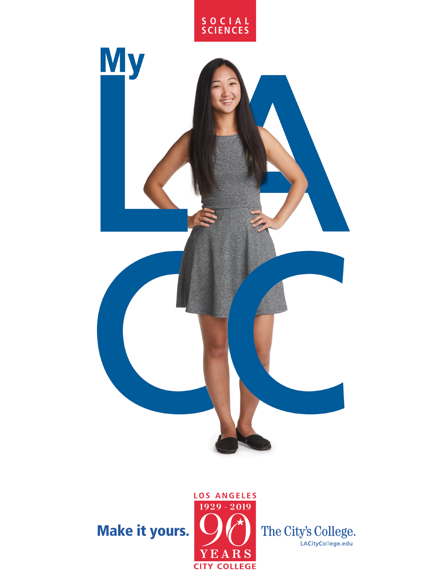

## Make it yours.